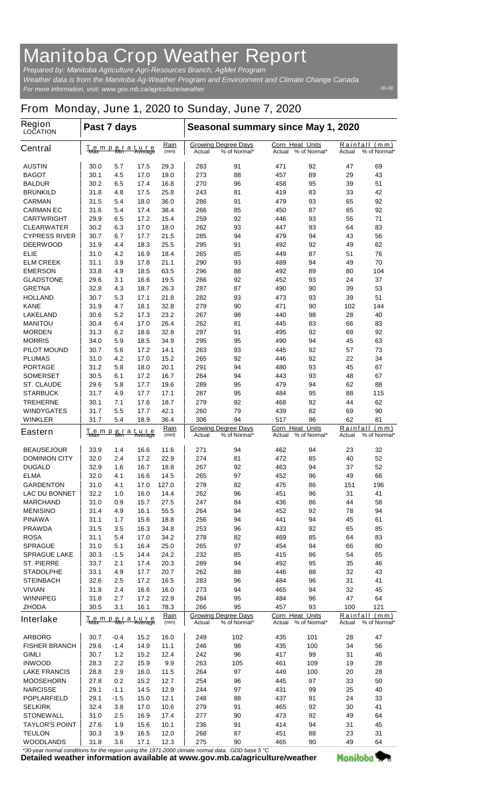## **Manitoba Crop Weather Report**

*For more information, visit: www.gov.mb.ca/agriculture/weather Prepared by: Manitoba Agriculture Agri-Resources Branch, AgMet Program Weather data is from the Manitoba Ag-Weather Program and Environment and Climate Change Canada*

*06-08*

## **From Monday, June 1, 2020 to Sunday, June 7, 2020**

| <b>Region</b><br><b>LOCATION</b> | Past 7 days                                                                         |            |                                                      |                                                                   | Seasonal summary since May 1, 2020                                             |                                                     |                                         |                                                       |          |          |  |
|----------------------------------|-------------------------------------------------------------------------------------|------------|------------------------------------------------------|-------------------------------------------------------------------|--------------------------------------------------------------------------------|-----------------------------------------------------|-----------------------------------------|-------------------------------------------------------|----------|----------|--|
| <b>Central</b>                   | <u>Rain</u><br>Temperature<br>Max Min Average<br>(mm)                               |            | <b>Growing Degree Days</b><br>% of Normal*<br>Actual |                                                                   | <b>Corn Heat Units</b><br>Actual                                               | % of Normal*                                        | Rainfall (mm)<br>% of Normal*<br>Actual |                                                       |          |          |  |
| <b>AUSTIN</b>                    | 30.0                                                                                | 5.7        | 17.5                                                 | 29.3                                                              | 283                                                                            | 91                                                  | 471                                     | 92                                                    | 47       | 69       |  |
| <b>BAGOT</b>                     | 30.1                                                                                | 4.5        | 17.0                                                 | 19.0                                                              | 273                                                                            | 88                                                  | 457                                     | 89                                                    | 29       | 43       |  |
| <b>BALDUR</b>                    | 30.2                                                                                | 6.5        | 17.4                                                 | 16.8                                                              | 270                                                                            | 96                                                  | 458                                     | 95                                                    | 39       | 51       |  |
| <b>BRUNKILD</b>                  | 31.8                                                                                | 4.8        | 17.5                                                 | 25.8                                                              | 243                                                                            | 81                                                  | 419                                     | 83                                                    | 33       | 42       |  |
| CARMAN                           | 31.5                                                                                | 5.4        | 18.0                                                 | 36.0                                                              | 286                                                                            | 91                                                  | 479                                     | 93                                                    | 65       | 92       |  |
| <b>CARMAN EC</b>                 | 31.6                                                                                | 5.4        | 17.4                                                 | 38.4                                                              | 266                                                                            | 85                                                  | 450                                     | 87                                                    | 65       | 92       |  |
| <b>CARTWRIGHT</b>                | 29.9                                                                                | 6.5        | 17.2                                                 | 15.4                                                              | 259                                                                            | 92                                                  | 446                                     | 93                                                    | 55       | 71       |  |
| <b>CLEARWATER</b>                | 30.2                                                                                | 6.3        | 17.0                                                 | 18.0                                                              | 262                                                                            | 93                                                  | 447                                     | 93                                                    | 64       | 83       |  |
| <b>CYPRESS RIVER</b>             | 30.7                                                                                | 6.7        | 17.7                                                 | 21.5                                                              | 285                                                                            | 94                                                  | 479                                     | 94                                                    | 43       | 56       |  |
| <b>DEERWOOD</b><br>ELIE          | 31.9                                                                                | 4.4        | 18.3                                                 | 25.5<br>18.4                                                      | 295<br>265                                                                     | 91<br>85                                            | 492<br>449                              | 92                                                    | 49<br>51 | 62<br>76 |  |
| <b>ELM CREEK</b>                 | 31.0<br>31.1                                                                        | 4.2<br>3.9 | 16.9<br>17.8                                         | 21.1                                                              | 290                                                                            | 93                                                  | 489                                     | 87<br>94                                              | 49       | 70       |  |
| <b>EMERSON</b>                   | 33.8                                                                                | 4.9        | 18.5                                                 | 63.5                                                              | 296                                                                            | 88                                                  | 492                                     | 89                                                    | 80       | 104      |  |
| <b>GLADSTONE</b>                 | 29.6                                                                                | 3.1        | 16.6                                                 | 19.5                                                              | 266                                                                            | 92                                                  | 452                                     | 93                                                    | 24       | 37       |  |
| <b>GRETNA</b>                    | 32.8                                                                                | 4.3        | 18.7                                                 | 26.3                                                              | 287                                                                            | 87                                                  | 490                                     | 90                                                    | 39       | 53       |  |
| <b>HOLLAND</b>                   | 30.7                                                                                | 5.3        | 17.1                                                 | 21.8                                                              | 282                                                                            | 93                                                  | 473                                     | 93                                                    | 39       | 51       |  |
| <b>KANE</b>                      | 31.9                                                                                | 4.7        | 18.1                                                 | 32.8                                                              | 279                                                                            | 90                                                  | 471                                     | 90                                                    | 102      | 144      |  |
| <b>LAKELAND</b>                  | 30.6                                                                                | 5.2        | 17.3                                                 | 23.2                                                              | 267                                                                            | 98                                                  | 440                                     | 98                                                    | 28       | 40       |  |
| <b>MANITOU</b>                   | 30.4                                                                                | 6.4        | 17.0                                                 | 26.4                                                              | 262                                                                            | 81                                                  | 445                                     | 83                                                    | 66       | 83       |  |
| <b>MORDEN</b>                    | 31.3                                                                                | 6.2        | 18.6                                                 | 32.8                                                              | 297                                                                            | 91                                                  | 495                                     | 92                                                    | 69       | 92       |  |
| <b>MORRIS</b>                    | 34.0                                                                                | 5.9        | 18.5                                                 | 34.9                                                              | 295                                                                            | 95                                                  | 490                                     | 94                                                    | 45       | 63       |  |
| <b>PILOT MOUND</b>               | 30.7                                                                                | 5.6        | 17.2                                                 | 14.1                                                              | 263                                                                            | 93                                                  | 445                                     | 92                                                    | 57       | 73       |  |
| <b>PLUMAS</b>                    | 31.0                                                                                | 4.2        | 17.0                                                 | 15.2                                                              | 265                                                                            | 92                                                  | 446                                     | 92                                                    | 22       | 34       |  |
| <b>PORTAGE</b>                   | 31.2                                                                                | 5.8        | 18.0                                                 | 20.1                                                              | 291                                                                            | 94                                                  | 480                                     | 93                                                    | 45       | 67       |  |
| <b>SOMERSET</b>                  | 30.5                                                                                | 6.1        | 17.2                                                 | 16.7                                                              | 264                                                                            | 94                                                  | 443                                     | 93                                                    | 48       | 67       |  |
| <b>ST. CLAUDE</b>                | 29.6                                                                                | 5.8        | 17.7                                                 | 19.6                                                              | 289                                                                            | 95                                                  | 479                                     | 94                                                    | 62       | 88       |  |
| <b>STARBUCK</b>                  | 31.7                                                                                | 4.9        | 17.7                                                 | 17.1                                                              | 287                                                                            | 95                                                  | 484                                     | 95                                                    | 88       | 115      |  |
| <b>TREHERNE</b>                  | 30.1                                                                                | 7.1        | 17.6                                                 | 18.7                                                              | 279                                                                            | 92                                                  | 468                                     | 92                                                    | 44       | 62       |  |
| <b>WINDYGATES</b>                | 31.7                                                                                | 5.5        | 17.7                                                 | 42.1                                                              | 260                                                                            | 79                                                  | 439                                     | 82                                                    | 69       | 90       |  |
| <b>WINKLER</b>                   | 31.7                                                                                | 5.4        | 18.9                                                 | 36.4                                                              | 306                                                                            | 94                                                  | 517                                     | 96                                                    | 62       | 81       |  |
| <b>Eastern</b>                   | <u>Rain</u><br><b>But</b> a ture<br>T <sub>Max</sub> m p<br>(mm)                    |            |                                                      | <b>Growing Degree Days</b><br>% of Normal*<br>Actual              |                                                                                | <b>Corn Heat Units</b><br>% of Normal*<br>Actual    |                                         | <u>Rainfall</u><br>(mm)<br>% of Normal*<br>Actual     |          |          |  |
| <b>BEAUSEJOUR</b>                | 33.9                                                                                | 1.4        | 16.6                                                 | 11.6                                                              | 271                                                                            | 94                                                  | 462                                     | 94                                                    | 23       | 32       |  |
| <b>DOMINION CITY</b>             | 32.0                                                                                | 2.4        | 17.2                                                 | 22.9                                                              | 274                                                                            | 81                                                  | 472                                     | 85                                                    | 40       | 52       |  |
| <b>DUGALD</b>                    | 32.9                                                                                | 1.6        | 16.7                                                 | 18.8                                                              | 267                                                                            | 92                                                  | 463                                     | 94                                                    | 37       | 52       |  |
| <b>ELMA</b>                      | 32.0                                                                                | 4.1        | 16.6                                                 | 14.5                                                              | 265                                                                            | 97                                                  | 452                                     | 96                                                    | 49       | 66       |  |
| <b>GARDENTON</b>                 | 31.0                                                                                | 4.1        | 17.0                                                 | 127.0                                                             | 278                                                                            | 82                                                  | 475                                     | 86                                                    | 151      | 196      |  |
| <b>LAC DU BONNET</b>             | 32.2                                                                                | 1.0        | 16.0                                                 | 14.4                                                              | 262                                                                            | 96                                                  | 451                                     | 96                                                    | 31       | 41       |  |
| <b>MARCHAND</b>                  | 31.0                                                                                | 0.9        | 15.7                                                 | 27.5                                                              | 247                                                                            | 84                                                  | 436                                     | 86                                                    | 44       | 58       |  |
| <b>MENISINO</b>                  | 31.4                                                                                | 4.9        | 16.1                                                 | 55.5                                                              | 264                                                                            | 94                                                  | 452                                     | 92                                                    | 78       | 94       |  |
| <b>PINAWA</b>                    | 31.1                                                                                | 1.7        | 15.6                                                 | 18.8                                                              | 256                                                                            | 94                                                  | 441                                     | 94                                                    | 45       | 61       |  |
| <b>PRAWDA</b>                    | 31.5                                                                                | 3.5        | 16.3                                                 | 34.8                                                              | 253                                                                            | 96                                                  | 433                                     | 92                                                    | 65       | 85       |  |
| <b>ROSA</b>                      | 31.1                                                                                | 5.4        | 17.0                                                 | 34.2                                                              | 278                                                                            | 82                                                  | 469                                     | 85                                                    | 64       | 83       |  |
| <b>SPRAGUE</b>                   | 31.0                                                                                | 5.1        | 16.4                                                 | 25.0                                                              | 265                                                                            | 97                                                  | 454                                     | 94                                                    | 66       | 80       |  |
| <b>SPRAGUE LAKE</b>              | 30.3                                                                                | -1.5       | 14.4                                                 | 24.2                                                              | 232                                                                            | 85                                                  | 415                                     | 86                                                    | 54       | 65       |  |
| <b>ST. PIERRE</b>                | 33.7                                                                                | 2.1        | 17.4                                                 | 20.3                                                              | 289                                                                            | 94                                                  | 492                                     | 95                                                    | 35       | 46       |  |
| <b>STADOLPHE</b>                 | 33.1                                                                                | 4.9        | 17.7                                                 | 20.7                                                              | 262                                                                            | 88                                                  | 446                                     | 88                                                    | 32       | 43       |  |
| <b>STEINBACH</b>                 | 32.6                                                                                | 2.5        | 17.2                                                 | 16.5                                                              | 283                                                                            | 96                                                  | 484                                     | 96                                                    | 31       | 41       |  |
| <b>VIVIAN</b>                    | 31.8                                                                                | 2.4        | 16.6                                                 | 16.0                                                              | 273                                                                            | 94                                                  | 465                                     | 94                                                    | 32       | 45       |  |
| <b>WINNIPEG</b>                  | 31.8                                                                                | 2.7        | 17.2                                                 | 22.9                                                              | 284                                                                            | 95                                                  | 484                                     | 96                                                    | 47       | 64       |  |
| <b>ZHODA</b><br><b>Interlake</b> | 78.3<br>30.5<br>16.1<br>3.1<br><b>Rain</b><br><u>Temperature</u><br>Max Min Average |            | (mm)                                                 | 95<br>266<br><b>Growing Degree Days</b><br>% of Normal*<br>Actual |                                                                                | 457<br>93<br>Corn Heat Units<br>Actual % of Normal* |                                         | 100<br>121<br>Rainfall (mm)<br>% of Normal*<br>Actual |          |          |  |
|                                  |                                                                                     |            |                                                      |                                                                   |                                                                                |                                                     |                                         |                                                       |          |          |  |
| <b>ARBORG</b>                    | 30.7                                                                                | -0.4       | 15.2                                                 | 16.0                                                              | 249                                                                            | 102                                                 | 435                                     | 101                                                   | 28       | 47       |  |
| <b>FISHER BRANCH</b>             | 29.6                                                                                | -1.4       | 14.9                                                 | 11.1                                                              | 246                                                                            | 98                                                  | 435                                     | 100                                                   | 34       | 56       |  |
| <b>GIMLI</b>                     | 30.7                                                                                | $1.2$      | 15.2                                                 | 12.4                                                              | 242                                                                            | 96                                                  | 417                                     | 99                                                    | 31       | 46       |  |
| <b>INWOOD</b>                    | 28.3                                                                                | 2.2        | 15.9                                                 | 9.9                                                               | 263                                                                            | 105                                                 | 461                                     | 109                                                   | 19       | 28       |  |
| <b>LAKE FRANCIS</b>              | 28.8                                                                                | 2.9        | 16.0                                                 | 11.5                                                              | 264                                                                            | 97                                                  | 449                                     | 100                                                   | 20       | 28       |  |
| <b>MOOSEHORN</b>                 | 27.8                                                                                | 0.2        | 15.2                                                 | 12.7                                                              | 254                                                                            | 96                                                  | 445                                     | 97                                                    | 33       | 50       |  |
| <b>NARCISSE</b>                  | 29.1                                                                                | $-1.1$     | 14.5                                                 | 12.9                                                              | 244                                                                            | 97                                                  | 431                                     | 99                                                    | 25       | 40       |  |
| <b>POPLARFIELD</b>               | 29.1                                                                                | $-1.5$     | 15.0                                                 | 12.1                                                              | 248                                                                            | 88                                                  | 437                                     | 91                                                    | 24       | 33       |  |
| <b>SELKIRK</b>                   | 32.4                                                                                | 3.8        | 17.0                                                 | 10.6                                                              | 279                                                                            | 91                                                  | 465                                     | 92                                                    | 30       | 41       |  |
| <b>STONEWALL</b>                 | 31.0                                                                                | 2.5        | 16.9                                                 | 17.4                                                              | 277                                                                            | 90                                                  | 473                                     | 92                                                    | 49       | 64       |  |
| <b>TAYLOR'S POINT</b>            | 27.6                                                                                | 1.9        | 15.6                                                 | 10.1                                                              | 236                                                                            | 91                                                  | 414                                     | 94                                                    | 31       | 45       |  |
| <b>TEULON</b>                    | 30.3                                                                                | 3.9        | 16.5                                                 | 12.0                                                              | 268                                                                            | 87                                                  | 451                                     | 88                                                    | 23       | 31       |  |
| WOODLANDS                        | 31.8                                                                                | 3.6        | 17.1                                                 | 12.3                                                              | 275<br>armal conditions for the region uping the 1071,2000 elimete nermal data | 90<br>$CDD$ hoog $E \nO$                            | 465                                     | 90                                                    | 49       | 64       |  |

*\*30-year normal conditions for the region using the 1971-2000 climate normal data. GDD base 5 °C*<br>Detailed weather information available at www.gov.mb.ca/agriculture/weather

Manitoba<sup>y</sup>